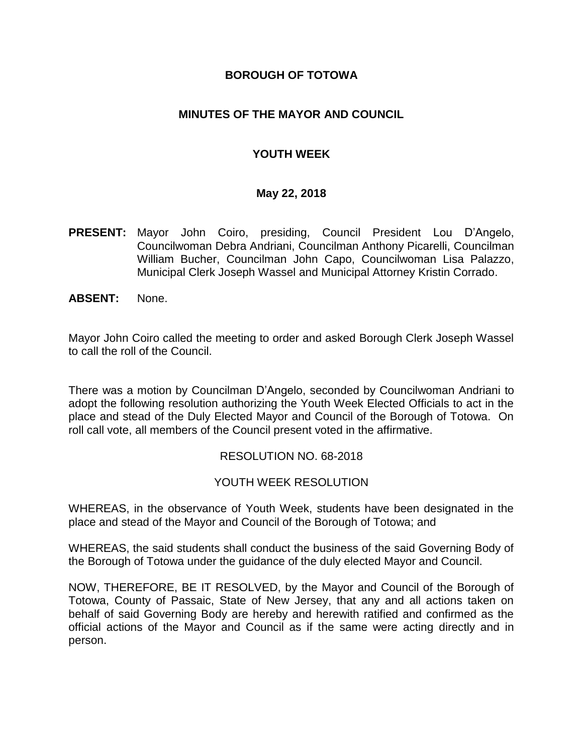## **BOROUGH OF TOTOWA**

## **MINUTES OF THE MAYOR AND COUNCIL**

## **YOUTH WEEK**

#### **May 22, 2018**

- **PRESENT:** Mayor John Coiro, presiding, Council President Lou D'Angelo, Councilwoman Debra Andriani, Councilman Anthony Picarelli, Councilman William Bucher, Councilman John Capo, Councilwoman Lisa Palazzo, Municipal Clerk Joseph Wassel and Municipal Attorney Kristin Corrado.
- **ABSENT:** None.

Mayor John Coiro called the meeting to order and asked Borough Clerk Joseph Wassel to call the roll of the Council.

There was a motion by Councilman D'Angelo, seconded by Councilwoman Andriani to adopt the following resolution authorizing the Youth Week Elected Officials to act in the place and stead of the Duly Elected Mayor and Council of the Borough of Totowa. On roll call vote, all members of the Council present voted in the affirmative.

#### RESOLUTION NO. 68-2018

#### YOUTH WEEK RESOLUTION

WHEREAS, in the observance of Youth Week, students have been designated in the place and stead of the Mayor and Council of the Borough of Totowa; and

WHEREAS, the said students shall conduct the business of the said Governing Body of the Borough of Totowa under the guidance of the duly elected Mayor and Council.

NOW, THEREFORE, BE IT RESOLVED, by the Mayor and Council of the Borough of Totowa, County of Passaic, State of New Jersey, that any and all actions taken on behalf of said Governing Body are hereby and herewith ratified and confirmed as the official actions of the Mayor and Council as if the same were acting directly and in person.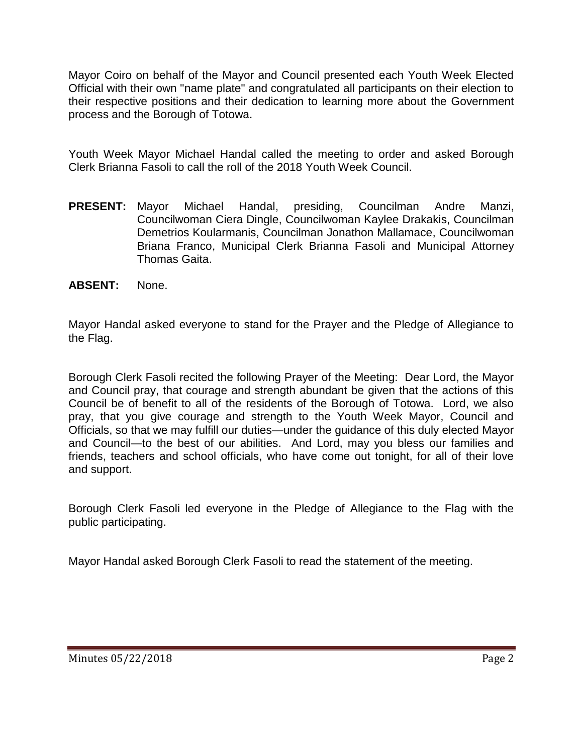Mayor Coiro on behalf of the Mayor and Council presented each Youth Week Elected Official with their own "name plate" and congratulated all participants on their election to their respective positions and their dedication to learning more about the Government process and the Borough of Totowa.

Youth Week Mayor Michael Handal called the meeting to order and asked Borough Clerk Brianna Fasoli to call the roll of the 2018 Youth Week Council.

- **PRESENT:** Mayor Michael Handal, presiding, Councilman Andre Manzi, Councilwoman Ciera Dingle, Councilwoman Kaylee Drakakis, Councilman Demetrios Koularmanis, Councilman Jonathon Mallamace, Councilwoman Briana Franco, Municipal Clerk Brianna Fasoli and Municipal Attorney Thomas Gaita.
- **ABSENT:** None.

Mayor Handal asked everyone to stand for the Prayer and the Pledge of Allegiance to the Flag.

Borough Clerk Fasoli recited the following Prayer of the Meeting: Dear Lord, the Mayor and Council pray, that courage and strength abundant be given that the actions of this Council be of benefit to all of the residents of the Borough of Totowa. Lord, we also pray, that you give courage and strength to the Youth Week Mayor, Council and Officials, so that we may fulfill our duties—under the guidance of this duly elected Mayor and Council—to the best of our abilities. And Lord, may you bless our families and friends, teachers and school officials, who have come out tonight, for all of their love and support.

Borough Clerk Fasoli led everyone in the Pledge of Allegiance to the Flag with the public participating.

Mayor Handal asked Borough Clerk Fasoli to read the statement of the meeting.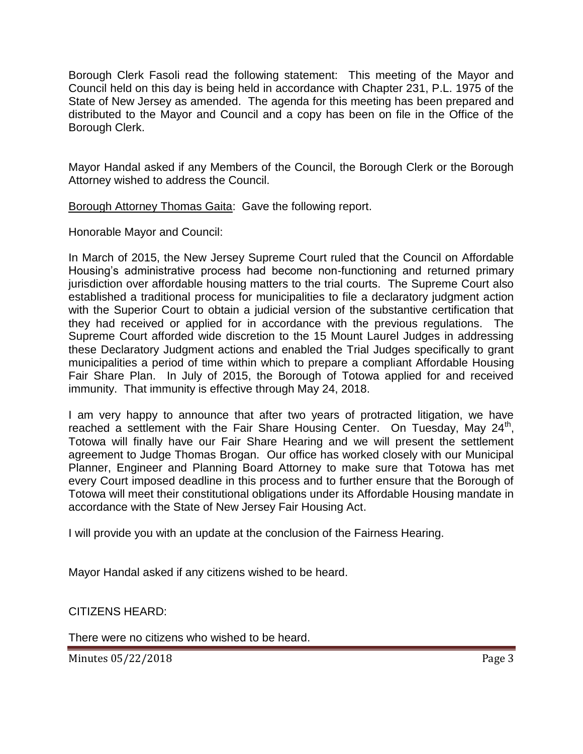Borough Clerk Fasoli read the following statement: This meeting of the Mayor and Council held on this day is being held in accordance with Chapter 231, P.L. 1975 of the State of New Jersey as amended. The agenda for this meeting has been prepared and distributed to the Mayor and Council and a copy has been on file in the Office of the Borough Clerk.

Mayor Handal asked if any Members of the Council, the Borough Clerk or the Borough Attorney wished to address the Council.

Borough Attorney Thomas Gaita: Gave the following report.

Honorable Mayor and Council:

In March of 2015, the New Jersey Supreme Court ruled that the Council on Affordable Housing's administrative process had become non-functioning and returned primary jurisdiction over affordable housing matters to the trial courts. The Supreme Court also established a traditional process for municipalities to file a declaratory judgment action with the Superior Court to obtain a judicial version of the substantive certification that they had received or applied for in accordance with the previous regulations. The Supreme Court afforded wide discretion to the 15 Mount Laurel Judges in addressing these Declaratory Judgment actions and enabled the Trial Judges specifically to grant municipalities a period of time within which to prepare a compliant Affordable Housing Fair Share Plan. In July of 2015, the Borough of Totowa applied for and received immunity. That immunity is effective through May 24, 2018.

I am very happy to announce that after two years of protracted litigation, we have reached a settlement with the Fair Share Housing Center. On Tuesday, May  $24^{th}$ , Totowa will finally have our Fair Share Hearing and we will present the settlement agreement to Judge Thomas Brogan. Our office has worked closely with our Municipal Planner, Engineer and Planning Board Attorney to make sure that Totowa has met every Court imposed deadline in this process and to further ensure that the Borough of Totowa will meet their constitutional obligations under its Affordable Housing mandate in accordance with the State of New Jersey Fair Housing Act.

I will provide you with an update at the conclusion of the Fairness Hearing.

Mayor Handal asked if any citizens wished to be heard.

CITIZENS HEARD:

There were no citizens who wished to be heard.

Minutes 05/22/2018 **Page 3**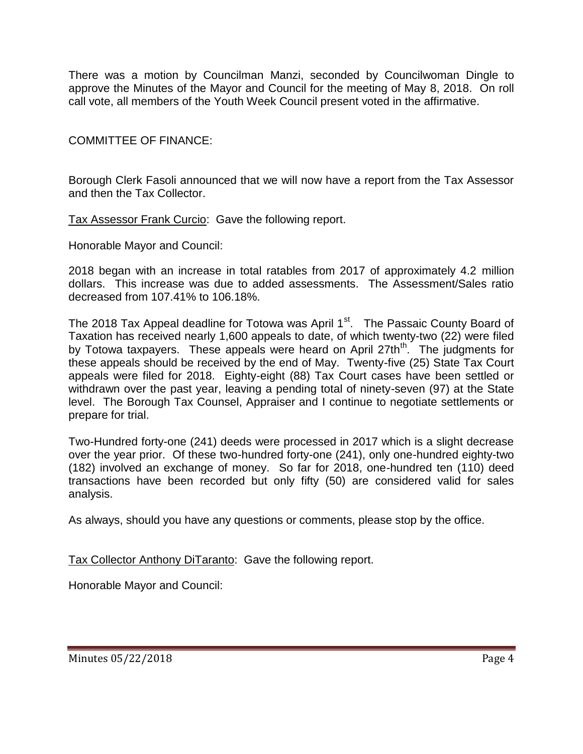There was a motion by Councilman Manzi, seconded by Councilwoman Dingle to approve the Minutes of the Mayor and Council for the meeting of May 8, 2018. On roll call vote, all members of the Youth Week Council present voted in the affirmative.

COMMITTEE OF FINANCE:

Borough Clerk Fasoli announced that we will now have a report from the Tax Assessor and then the Tax Collector.

Tax Assessor Frank Curcio: Gave the following report.

Honorable Mayor and Council:

2018 began with an increase in total ratables from 2017 of approximately 4.2 million dollars. This increase was due to added assessments. The Assessment/Sales ratio decreased from 107.41% to 106.18%.

The 2018 Tax Appeal deadline for Totowa was April 1<sup>st</sup>. The Passaic County Board of Taxation has received nearly 1,600 appeals to date, of which twenty-two (22) were filed by Totowa taxpayers. These appeals were heard on April 27th<sup>th</sup>. The judgments for these appeals should be received by the end of May. Twenty-five (25) State Tax Court appeals were filed for 2018. Eighty-eight (88) Tax Court cases have been settled or withdrawn over the past year, leaving a pending total of ninety-seven (97) at the State level. The Borough Tax Counsel, Appraiser and I continue to negotiate settlements or prepare for trial.

Two-Hundred forty-one (241) deeds were processed in 2017 which is a slight decrease over the year prior. Of these two-hundred forty-one (241), only one-hundred eighty-two (182) involved an exchange of money. So far for 2018, one-hundred ten (110) deed transactions have been recorded but only fifty (50) are considered valid for sales analysis.

As always, should you have any questions or comments, please stop by the office.

Tax Collector Anthony DiTaranto: Gave the following report.

Honorable Mayor and Council: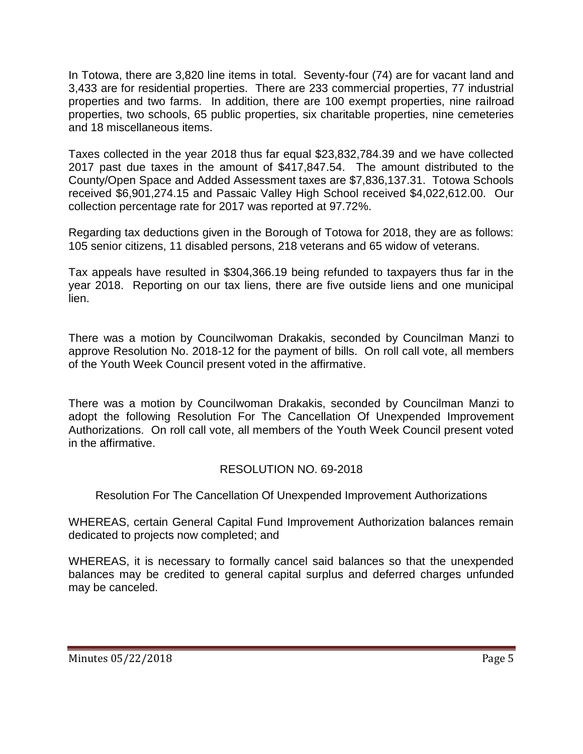In Totowa, there are 3,820 line items in total. Seventy-four (74) are for vacant land and 3,433 are for residential properties. There are 233 commercial properties, 77 industrial properties and two farms. In addition, there are 100 exempt properties, nine railroad properties, two schools, 65 public properties, six charitable properties, nine cemeteries and 18 miscellaneous items.

Taxes collected in the year 2018 thus far equal \$23,832,784.39 and we have collected 2017 past due taxes in the amount of \$417,847.54. The amount distributed to the County/Open Space and Added Assessment taxes are \$7,836,137.31. Totowa Schools received \$6,901,274.15 and Passaic Valley High School received \$4,022,612.00. Our collection percentage rate for 2017 was reported at 97.72%.

Regarding tax deductions given in the Borough of Totowa for 2018, they are as follows: 105 senior citizens, 11 disabled persons, 218 veterans and 65 widow of veterans.

Tax appeals have resulted in \$304,366.19 being refunded to taxpayers thus far in the year 2018. Reporting on our tax liens, there are five outside liens and one municipal lien.

There was a motion by Councilwoman Drakakis, seconded by Councilman Manzi to approve Resolution No. 2018-12 for the payment of bills. On roll call vote, all members of the Youth Week Council present voted in the affirmative.

There was a motion by Councilwoman Drakakis, seconded by Councilman Manzi to adopt the following Resolution For The Cancellation Of Unexpended Improvement Authorizations. On roll call vote, all members of the Youth Week Council present voted in the affirmative.

# RESOLUTION NO. 69-2018

Resolution For The Cancellation Of Unexpended Improvement Authorizations

WHEREAS, certain General Capital Fund Improvement Authorization balances remain dedicated to projects now completed; and

WHEREAS, it is necessary to formally cancel said balances so that the unexpended balances may be credited to general capital surplus and deferred charges unfunded may be canceled.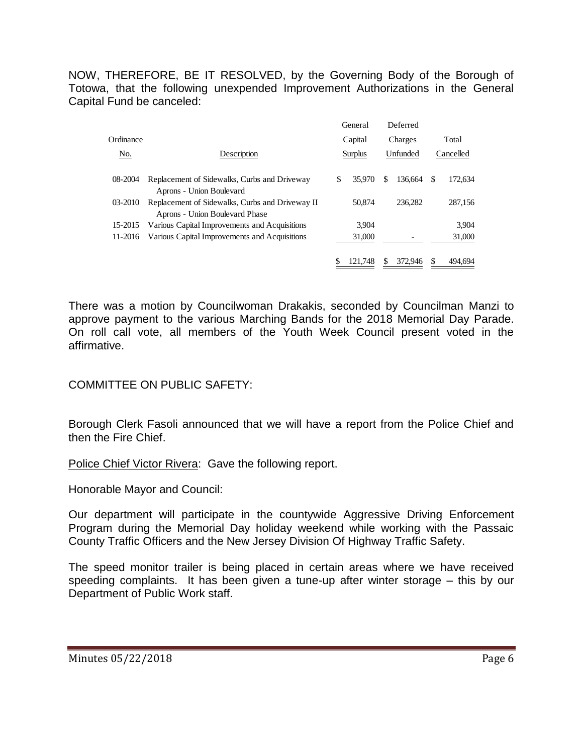NOW, THEREFORE, BE IT RESOLVED, by the Governing Body of the Borough of Totowa, that the following unexpended Improvement Authorizations in the General Capital Fund be canceled:

|           |                                                                                   |         | General | Deferred<br>Charges |         |           |         |
|-----------|-----------------------------------------------------------------------------------|---------|---------|---------------------|---------|-----------|---------|
| Ordinance |                                                                                   | Capital |         |                     |         | Total     |         |
| No.       | Description                                                                       | Surplus |         | Unfunded            |         | Cancelled |         |
| 08-2004   | Replacement of Sidewalks, Curbs and Driveway<br>Aprons - Union Boulevard          | S       | 35,970  | \$.                 | 136.664 | -S        | 172,634 |
| 03-2010   | Replacement of Sidewalks, Curbs and Driveway II<br>Aprons - Union Boulevard Phase |         | 50.874  |                     | 236.282 |           | 287.156 |
| 15-2015   | Various Capital Improvements and Acquisitions                                     |         | 3.904   |                     |         |           | 3.904   |
| 11-2016   | Various Capital Improvements and Acquisitions                                     |         | 31,000  |                     |         |           | 31,000  |
|           |                                                                                   |         | 121.748 |                     | 372,946 | S         | 494.694 |

There was a motion by Councilwoman Drakakis, seconded by Councilman Manzi to approve payment to the various Marching Bands for the 2018 Memorial Day Parade. On roll call vote, all members of the Youth Week Council present voted in the affirmative.

# COMMITTEE ON PUBLIC SAFETY:

Borough Clerk Fasoli announced that we will have a report from the Police Chief and then the Fire Chief.

Police Chief Victor Rivera: Gave the following report.

Honorable Mayor and Council:

Our department will participate in the countywide Aggressive Driving Enforcement Program during the Memorial Day holiday weekend while working with the Passaic County Traffic Officers and the New Jersey Division Of Highway Traffic Safety.

The speed monitor trailer is being placed in certain areas where we have received speeding complaints. It has been given a tune-up after winter storage – this by our Department of Public Work staff.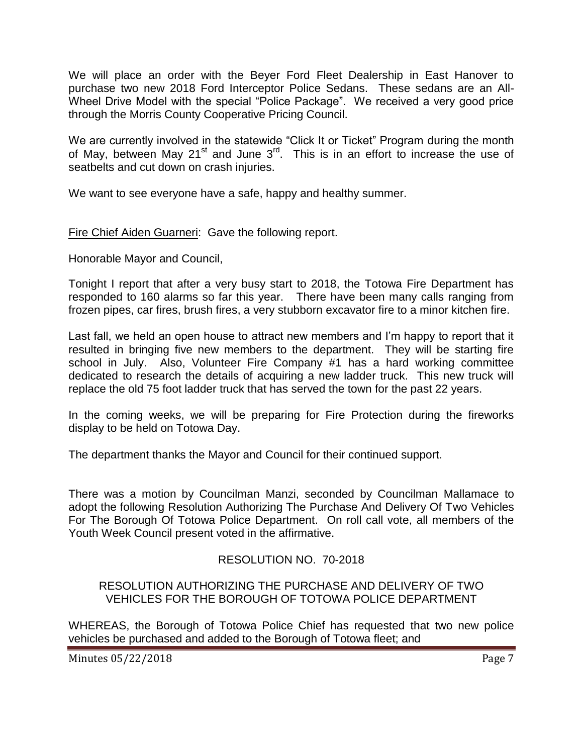We will place an order with the Beyer Ford Fleet Dealership in East Hanover to purchase two new 2018 Ford Interceptor Police Sedans. These sedans are an All-Wheel Drive Model with the special "Police Package". We received a very good price through the Morris County Cooperative Pricing Council.

We are currently involved in the statewide "Click It or Ticket" Program during the month of May, between May 21<sup>st</sup> and June  $3<sup>rd</sup>$ . This is in an effort to increase the use of seatbelts and cut down on crash injuries.

We want to see everyone have a safe, happy and healthy summer.

Fire Chief Aiden Guarneri: Gave the following report.

Honorable Mayor and Council,

Tonight I report that after a very busy start to 2018, the Totowa Fire Department has responded to 160 alarms so far this year. There have been many calls ranging from frozen pipes, car fires, brush fires, a very stubborn excavator fire to a minor kitchen fire.

Last fall, we held an open house to attract new members and I'm happy to report that it resulted in bringing five new members to the department. They will be starting fire school in July. Also, Volunteer Fire Company #1 has a hard working committee dedicated to research the details of acquiring a new ladder truck. This new truck will replace the old 75 foot ladder truck that has served the town for the past 22 years.

In the coming weeks, we will be preparing for Fire Protection during the fireworks display to be held on Totowa Day.

The department thanks the Mayor and Council for their continued support.

There was a motion by Councilman Manzi, seconded by Councilman Mallamace to adopt the following Resolution Authorizing The Purchase And Delivery Of Two Vehicles For The Borough Of Totowa Police Department. On roll call vote, all members of the Youth Week Council present voted in the affirmative.

# RESOLUTION NO. 70-2018

## RESOLUTION AUTHORIZING THE PURCHASE AND DELIVERY OF TWO VEHICLES FOR THE BOROUGH OF TOTOWA POLICE DEPARTMENT

WHEREAS, the Borough of Totowa Police Chief has requested that two new police vehicles be purchased and added to the Borough of Totowa fleet; and

Minutes 05/22/2018 **Page 7**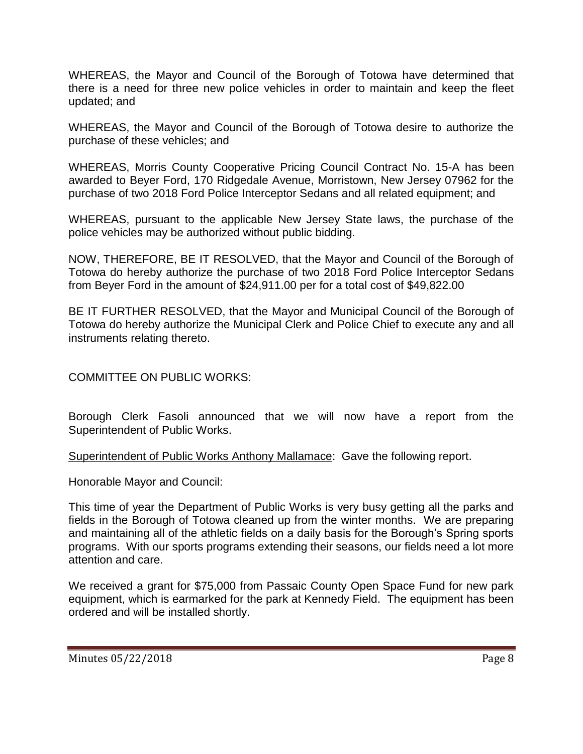WHEREAS, the Mayor and Council of the Borough of Totowa have determined that there is a need for three new police vehicles in order to maintain and keep the fleet updated; and

WHEREAS, the Mayor and Council of the Borough of Totowa desire to authorize the purchase of these vehicles; and

WHEREAS, Morris County Cooperative Pricing Council Contract No. 15-A has been awarded to Beyer Ford, 170 Ridgedale Avenue, Morristown, New Jersey 07962 for the purchase of two 2018 Ford Police Interceptor Sedans and all related equipment; and

WHEREAS, pursuant to the applicable New Jersey State laws, the purchase of the police vehicles may be authorized without public bidding.

NOW, THEREFORE, BE IT RESOLVED, that the Mayor and Council of the Borough of Totowa do hereby authorize the purchase of two 2018 Ford Police Interceptor Sedans from Beyer Ford in the amount of \$24,911.00 per for a total cost of \$49,822.00

BE IT FURTHER RESOLVED, that the Mayor and Municipal Council of the Borough of Totowa do hereby authorize the Municipal Clerk and Police Chief to execute any and all instruments relating thereto.

COMMITTEE ON PUBLIC WORKS:

Borough Clerk Fasoli announced that we will now have a report from the Superintendent of Public Works.

Superintendent of Public Works Anthony Mallamace: Gave the following report.

Honorable Mayor and Council:

This time of year the Department of Public Works is very busy getting all the parks and fields in the Borough of Totowa cleaned up from the winter months. We are preparing and maintaining all of the athletic fields on a daily basis for the Borough's Spring sports programs. With our sports programs extending their seasons, our fields need a lot more attention and care.

We received a grant for \$75,000 from Passaic County Open Space Fund for new park equipment, which is earmarked for the park at Kennedy Field. The equipment has been ordered and will be installed shortly.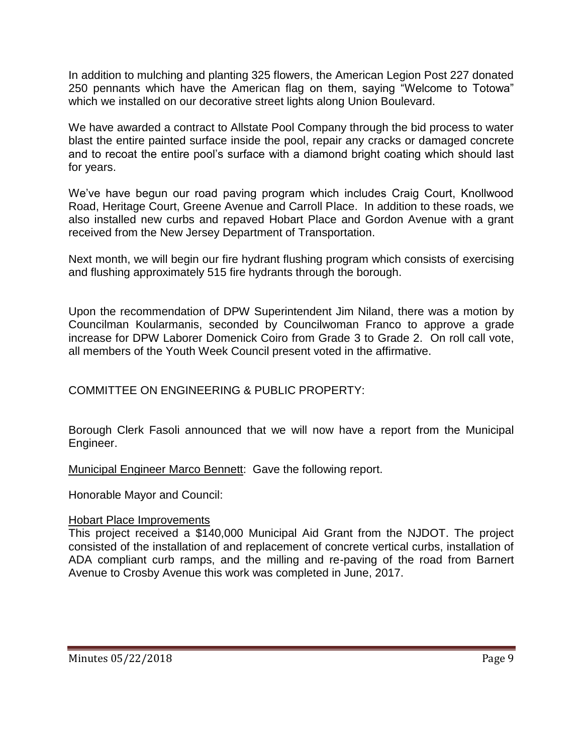In addition to mulching and planting 325 flowers, the American Legion Post 227 donated 250 pennants which have the American flag on them, saying "Welcome to Totowa" which we installed on our decorative street lights along Union Boulevard.

We have awarded a contract to Allstate Pool Company through the bid process to water blast the entire painted surface inside the pool, repair any cracks or damaged concrete and to recoat the entire pool's surface with a diamond bright coating which should last for years.

We've have begun our road paving program which includes Craig Court, Knollwood Road, Heritage Court, Greene Avenue and Carroll Place. In addition to these roads, we also installed new curbs and repaved Hobart Place and Gordon Avenue with a grant received from the New Jersey Department of Transportation.

Next month, we will begin our fire hydrant flushing program which consists of exercising and flushing approximately 515 fire hydrants through the borough.

Upon the recommendation of DPW Superintendent Jim Niland, there was a motion by Councilman Koularmanis, seconded by Councilwoman Franco to approve a grade increase for DPW Laborer Domenick Coiro from Grade 3 to Grade 2. On roll call vote, all members of the Youth Week Council present voted in the affirmative.

COMMITTEE ON ENGINEERING & PUBLIC PROPERTY:

Borough Clerk Fasoli announced that we will now have a report from the Municipal Engineer.

Municipal Engineer Marco Bennett: Gave the following report.

Honorable Mayor and Council:

#### Hobart Place Improvements

This project received a \$140,000 Municipal Aid Grant from the NJDOT. The project consisted of the installation of and replacement of concrete vertical curbs, installation of ADA compliant curb ramps, and the milling and re-paving of the road from Barnert Avenue to Crosby Avenue this work was completed in June, 2017.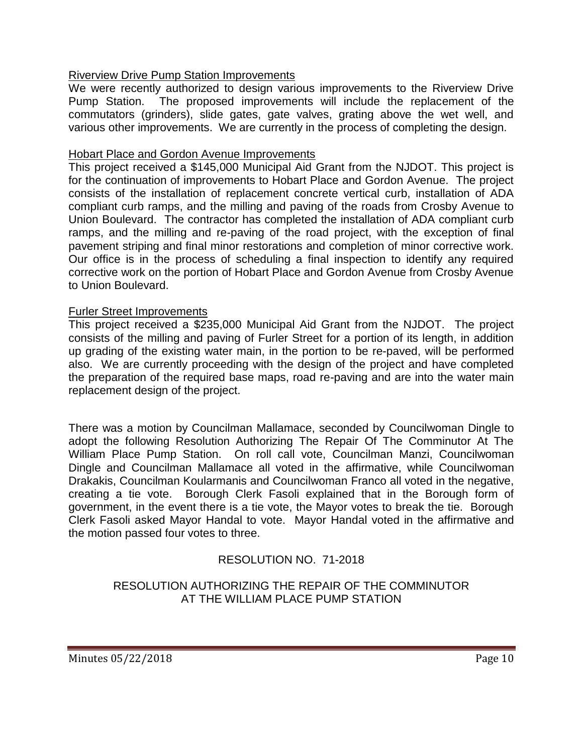# Riverview Drive Pump Station Improvements

We were recently authorized to design various improvements to the Riverview Drive Pump Station. The proposed improvements will include the replacement of the commutators (grinders), slide gates, gate valves, grating above the wet well, and various other improvements. We are currently in the process of completing the design.

## Hobart Place and Gordon Avenue Improvements

This project received a \$145,000 Municipal Aid Grant from the NJDOT. This project is for the continuation of improvements to Hobart Place and Gordon Avenue. The project consists of the installation of replacement concrete vertical curb, installation of ADA compliant curb ramps, and the milling and paving of the roads from Crosby Avenue to Union Boulevard. The contractor has completed the installation of ADA compliant curb ramps, and the milling and re-paving of the road project, with the exception of final pavement striping and final minor restorations and completion of minor corrective work. Our office is in the process of scheduling a final inspection to identify any required corrective work on the portion of Hobart Place and Gordon Avenue from Crosby Avenue to Union Boulevard.

#### Furler Street Improvements

This project received a \$235,000 Municipal Aid Grant from the NJDOT. The project consists of the milling and paving of Furler Street for a portion of its length, in addition up grading of the existing water main, in the portion to be re-paved, will be performed also. We are currently proceeding with the design of the project and have completed the preparation of the required base maps, road re-paving and are into the water main replacement design of the project.

There was a motion by Councilman Mallamace, seconded by Councilwoman Dingle to adopt the following Resolution Authorizing The Repair Of The Comminutor At The William Place Pump Station. On roll call vote, Councilman Manzi, Councilwoman Dingle and Councilman Mallamace all voted in the affirmative, while Councilwoman Drakakis, Councilman Koularmanis and Councilwoman Franco all voted in the negative, creating a tie vote. Borough Clerk Fasoli explained that in the Borough form of government, in the event there is a tie vote, the Mayor votes to break the tie. Borough Clerk Fasoli asked Mayor Handal to vote. Mayor Handal voted in the affirmative and the motion passed four votes to three.

# RESOLUTION NO. 71-2018

## RESOLUTION AUTHORIZING THE REPAIR OF THE COMMINUTOR AT THE WILLIAM PLACE PUMP STATION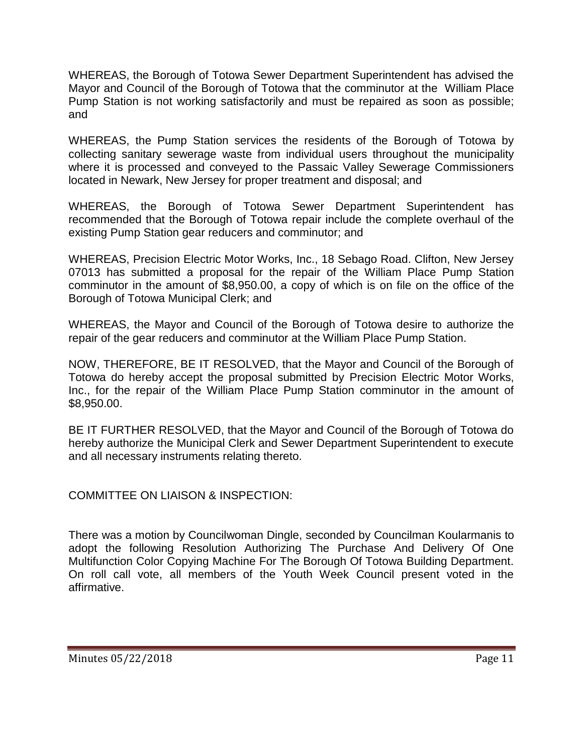WHEREAS, the Borough of Totowa Sewer Department Superintendent has advised the Mayor and Council of the Borough of Totowa that the comminutor at the William Place Pump Station is not working satisfactorily and must be repaired as soon as possible; and

WHEREAS, the Pump Station services the residents of the Borough of Totowa by collecting sanitary sewerage waste from individual users throughout the municipality where it is processed and conveyed to the Passaic Valley Sewerage Commissioners located in Newark, New Jersey for proper treatment and disposal; and

WHEREAS, the Borough of Totowa Sewer Department Superintendent has recommended that the Borough of Totowa repair include the complete overhaul of the existing Pump Station gear reducers and comminutor; and

WHEREAS, Precision Electric Motor Works, Inc., 18 Sebago Road. Clifton, New Jersey 07013 has submitted a proposal for the repair of the William Place Pump Station comminutor in the amount of \$8,950.00, a copy of which is on file on the office of the Borough of Totowa Municipal Clerk; and

WHEREAS, the Mayor and Council of the Borough of Totowa desire to authorize the repair of the gear reducers and comminutor at the William Place Pump Station.

NOW, THEREFORE, BE IT RESOLVED, that the Mayor and Council of the Borough of Totowa do hereby accept the proposal submitted by Precision Electric Motor Works, Inc., for the repair of the William Place Pump Station comminutor in the amount of \$8,950.00.

BE IT FURTHER RESOLVED, that the Mayor and Council of the Borough of Totowa do hereby authorize the Municipal Clerk and Sewer Department Superintendent to execute and all necessary instruments relating thereto.

COMMITTEE ON LIAISON & INSPECTION:

There was a motion by Councilwoman Dingle, seconded by Councilman Koularmanis to adopt the following Resolution Authorizing The Purchase And Delivery Of One Multifunction Color Copying Machine For The Borough Of Totowa Building Department. On roll call vote, all members of the Youth Week Council present voted in the affirmative.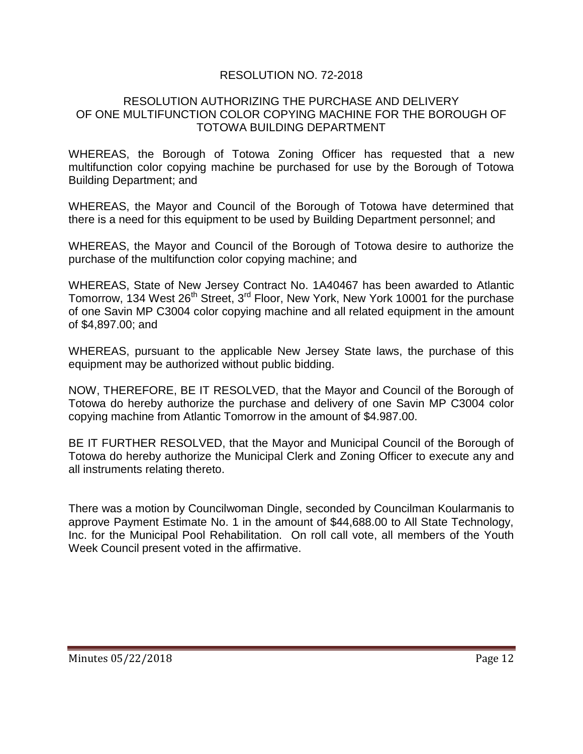# RESOLUTION NO. 72-2018

#### RESOLUTION AUTHORIZING THE PURCHASE AND DELIVERY OF ONE MULTIFUNCTION COLOR COPYING MACHINE FOR THE BOROUGH OF TOTOWA BUILDING DEPARTMENT

WHEREAS, the Borough of Totowa Zoning Officer has requested that a new multifunction color copying machine be purchased for use by the Borough of Totowa Building Department; and

WHEREAS, the Mayor and Council of the Borough of Totowa have determined that there is a need for this equipment to be used by Building Department personnel; and

WHEREAS, the Mayor and Council of the Borough of Totowa desire to authorize the purchase of the multifunction color copying machine; and

WHEREAS, State of New Jersey Contract No. 1A40467 has been awarded to Atlantic Tomorrow, 134 West 26<sup>th</sup> Street, 3<sup>rd</sup> Floor, New York, New York 10001 for the purchase of one Savin MP C3004 color copying machine and all related equipment in the amount of \$4,897.00; and

WHEREAS, pursuant to the applicable New Jersey State laws, the purchase of this equipment may be authorized without public bidding.

NOW, THEREFORE, BE IT RESOLVED, that the Mayor and Council of the Borough of Totowa do hereby authorize the purchase and delivery of one Savin MP C3004 color copying machine from Atlantic Tomorrow in the amount of \$4.987.00.

BE IT FURTHER RESOLVED, that the Mayor and Municipal Council of the Borough of Totowa do hereby authorize the Municipal Clerk and Zoning Officer to execute any and all instruments relating thereto.

There was a motion by Councilwoman Dingle, seconded by Councilman Koularmanis to approve Payment Estimate No. 1 in the amount of \$44,688.00 to All State Technology, Inc. for the Municipal Pool Rehabilitation. On roll call vote, all members of the Youth Week Council present voted in the affirmative.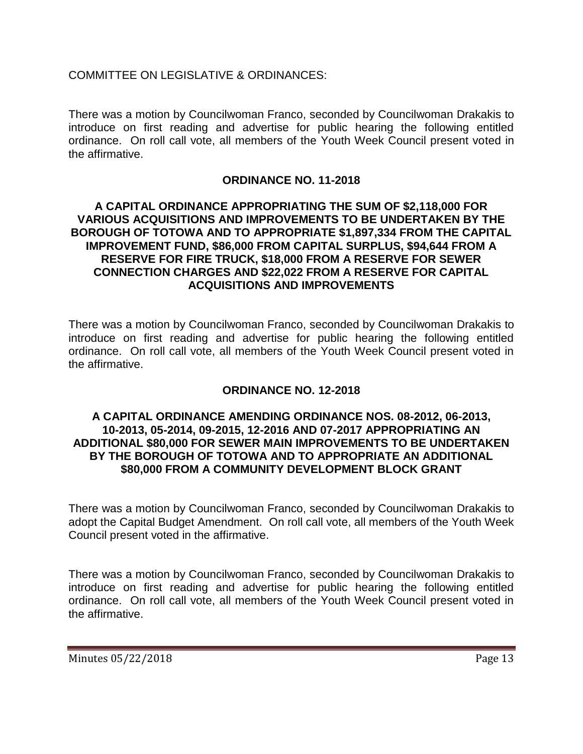COMMITTEE ON LEGISLATIVE & ORDINANCES:

There was a motion by Councilwoman Franco, seconded by Councilwoman Drakakis to introduce on first reading and advertise for public hearing the following entitled ordinance. On roll call vote, all members of the Youth Week Council present voted in the affirmative.

# **ORDINANCE NO. 11-2018**

### **A CAPITAL ORDINANCE APPROPRIATING THE SUM OF \$2,118,000 FOR VARIOUS ACQUISITIONS AND IMPROVEMENTS TO BE UNDERTAKEN BY THE BOROUGH OF TOTOWA AND TO APPROPRIATE \$1,897,334 FROM THE CAPITAL IMPROVEMENT FUND, \$86,000 FROM CAPITAL SURPLUS, \$94,644 FROM A RESERVE FOR FIRE TRUCK, \$18,000 FROM A RESERVE FOR SEWER CONNECTION CHARGES AND \$22,022 FROM A RESERVE FOR CAPITAL ACQUISITIONS AND IMPROVEMENTS**

There was a motion by Councilwoman Franco, seconded by Councilwoman Drakakis to introduce on first reading and advertise for public hearing the following entitled ordinance. On roll call vote, all members of the Youth Week Council present voted in the affirmative.

# **ORDINANCE NO. 12-2018**

### **A CAPITAL ORDINANCE AMENDING ORDINANCE NOS. 08-2012, 06-2013, 10-2013, 05-2014, 09-2015, 12-2016 AND 07-2017 APPROPRIATING AN ADDITIONAL \$80,000 FOR SEWER MAIN IMPROVEMENTS TO BE UNDERTAKEN BY THE BOROUGH OF TOTOWA AND TO APPROPRIATE AN ADDITIONAL \$80,000 FROM A COMMUNITY DEVELOPMENT BLOCK GRANT**

There was a motion by Councilwoman Franco, seconded by Councilwoman Drakakis to adopt the Capital Budget Amendment. On roll call vote, all members of the Youth Week Council present voted in the affirmative.

There was a motion by Councilwoman Franco, seconded by Councilwoman Drakakis to introduce on first reading and advertise for public hearing the following entitled ordinance. On roll call vote, all members of the Youth Week Council present voted in the affirmative.